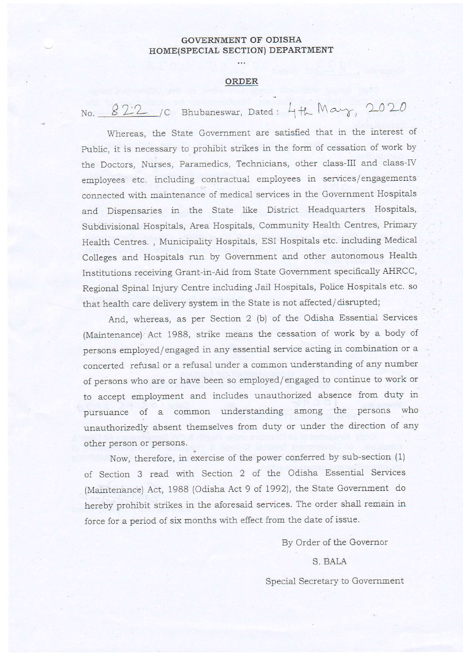## GOVERNMENT OF ODISHA HOME(SPECIAL SECTION) DEPARTMENT

## ORDER

 $N$ o.  $822$  /C Bhubaneswar, Dated: 4th  $M$ a $\gamma$ , 2020

Whereas, the State Government are satisfied that in the interest of Public, it is necessary to prohibit strikes in the form of cessation of work by the Doctors, Nurses, Paramedics, Technicians, other class-III and class-IV employees etc. including contractual employees in services/engagements connected with maintenance of medical services in the Government Hospitals and Dispensaries in the State like District Headquarters Hospitals, Subdivisional Hospitals, Area Hospitals, Community Health Centres, Primary Health Centres., Municipality Hospitals, ESI Hospitals etc. including Medical Colleges and Hospitals run by Government and other autonomous Health Institutions receiving Grant-in-Aid from State Government specifically AHRCC, Regional Spinal Injury Centre including Jail Hospitals, Police Hospitals etc. so that health care delivery system in the State is not affected/disrupted;

And, whereas, as per Section 2 (b) of the Odisha Essential Services (Maintenance) Act 1988, strike means the cessation of work by a body of persons employed/engaged in any essential service acting in combination or a concerted refusal or a refusal under a common understanding of any number of persons who are or have been so employed/ engaged to continue to work or to accept employment and includes unauthorized absence from duty in pursuance of a common understanding among the persons who unauthorizedly absent themselves from duty or under the direction of any other person or persons.

Now, therefore, in exercise of the power conferred by sub-section (1) of Section 3 read with Section 2 of the Odisha Essential Services (Maintenance) Act, 1988 (Odisha Act 9 of 1992), the State Government do hereby prohibit strikes in the aforesaid services. The order shall remain in force for a period of six months with effect from the date of issue.

By Order of the Governor

S. BALA Special Secretary to Government